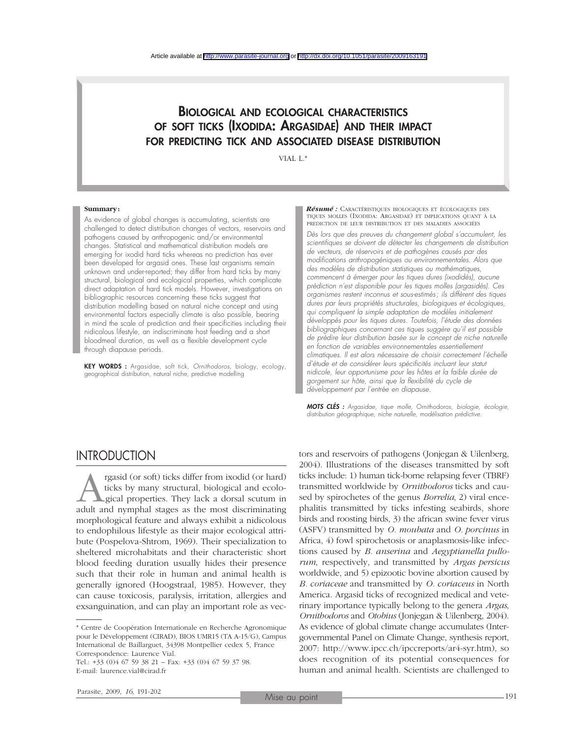### BIOLOGICAL AND ECOLOGICAL CHARACTERISTICS OF SOFT TICKS (IXODIDA: ARGASIDAE) AND THEIR IMPACT FOR PREDICTING TICK AND ASSOCIATED DISEASE DISTRIBUTION

VIAL L.\*

#### **Summary:**

As evidence of global changes is accumulating, scientists are challenged to detect distribution changes of vectors, reservoirs and pathogens caused by anthropogenic and/or environmental changes. Statistical and mathematical distribution models are emerging for ixodid hard ticks whereas no prediction has ever been developed for argasid ones. These last organisms remain unknown and under-reported; they differ from hard ticks by many structural, biological and ecological properties, which complicate direct adaptation of hard tick models. However, investigations on bibliographic resources concerning these ticks suggest that distribution modelling based on natural niche concept and using environmental factors especially climate is also possible, bearing in mind the scale of prediction and their specificities including their nidicolous lifestyle, an indiscriminate host feeding and a short bloodmeal duration, as well as a flexible development cycle through diapause periods.

KEY WORDS : Argasidae, soft tick, *Ornithodoros*, biology, ecology, geographical distribution, natural niche, predictive modelling

*Résumé :* CARACTÉRISTIQUES BIOLOGIQUES ET ÉCOLOGIQUES DES TIQUES MOLLES (IXODIDA: ARGASIDAE) ET IMPLICATIONS QUANT À LA PREDICTION DE LEUR DISTRIBUTION ET DES MALADIES ASSOCIÉES

*Dès lors que des preuves du changement global s'accumulent, les scientifiques se doivent de détecter les changements de distribution de vecteurs, de réservoirs et de pathogènes causés par des modifications anthropogéniques ou environnementales. Alors que des modèles de distribution statistiques ou mathématiques, commencent à émerger pour les tiques dures (ixodidés), aucune prédiction n'est disponible pour les tiques molles (argasidés). Ces organismes restent inconnus et sous-estimés; ils diffèrent des tiques dures par leurs propriétés structurales, biologiques et écologiques, qui compliquent la simple adaptation de modèles initialement développés pour les tiques dures. Toutefois, l'étude des données bibliographiques concernant ces tiques suggère qu'il est possible de prédire leur distribution basée sur le concept de niche naturelle en fonction de variables environnementales essentiellement climatiques. Il est alors nécessaire de choisir correctement l'échelle d'étude et de considérer leurs spécificités incluant leur statut nidicole, leur opportunisme pour les hôtes et la faible durée de gorgement sur hôte, ainsi que la flexibilité du cycle de développement par l'entrée en diapause.*

*MOTS CLÉS : Argasidae, tique molle,* Ornithodoros*, biologie, écologie, distribution géographique, niche naturelle, modélisation prédictive.*

### **INTRODUCTION**

rgasid (or soft) ticks differ from ixodid (or hard) ticks by many structural, biological and ecological properties. They lack a dorsal scutum in adult and nymphal stages as the most discriminating ticks by many structural, biological and ecological properties. They lack a dorsal scutum in morphological feature and always exhibit a nidicolous to endophilous lifestyle as their major ecological attribute (Pospelova-Shtrom, 1969). Their specialization to sheltered microhabitats and their characteristic short blood feeding duration usually hides their presence such that their role in human and animal health is generally ignored (Hoogstraal, 1985). However, they can cause toxicosis, paralysis, irritation, allergies and exsanguination, and can play an important role as vec-

\* Centre de Coopération Internationale en Recherche Agronomique pour le Développement (CIRAD), BIOS UMR15 (TA A-15/G), Campus International de Baillarguet, 34398 Montpellier cedex 5, France Correspondence: Laurence Vial.

Tel.: +33 (0)4 67 59 38 21 – Fax: +33 (0)4 67 59 37 98. E-mail: laurence.vial@cirad.fr

tors and reservoirs of pathogens (Jonjegan & Uilenberg, 2004). Illustrations of the diseases transmitted by soft ticks include: 1) human tick-borne relapsing fever (TBRF) transmitted worldwide by *Ornithodoros* ticks and caused by spirochetes of the genus *Borrelia*, 2) viral encephalitis transmitted by ticks infesting seabirds, shore birds and roosting birds, 3) the african swine fever virus (ASFV) transmitted by *O. moubata* and *O. porcinus* in Africa, 4) fowl spirochetosis or anaplasmosis-like infections caused by *B. anserina* and *Aegyptianella pullorum*, respectively, and transmitted by *Argas persicus* worldwide, and 5) epizootic bovine abortion caused by *B. coriaceae* and transmitted by *O. coriaceus* in North America. Argasid ticks of recognized medical and veterinary importance typically belong to the genera *Argas*, *Ornithodoros* and *Otobius* (Jonjegan & Uilenberg, 2004). As evidence of global climate change accumulates (Intergovernmental Panel on Climate Change, synthesis report, 2007: http://www.ipcc.ch/ipccreports/ar4-syr.htm), so does recognition of its potential consequences for human and animal health. Scientists are challenged to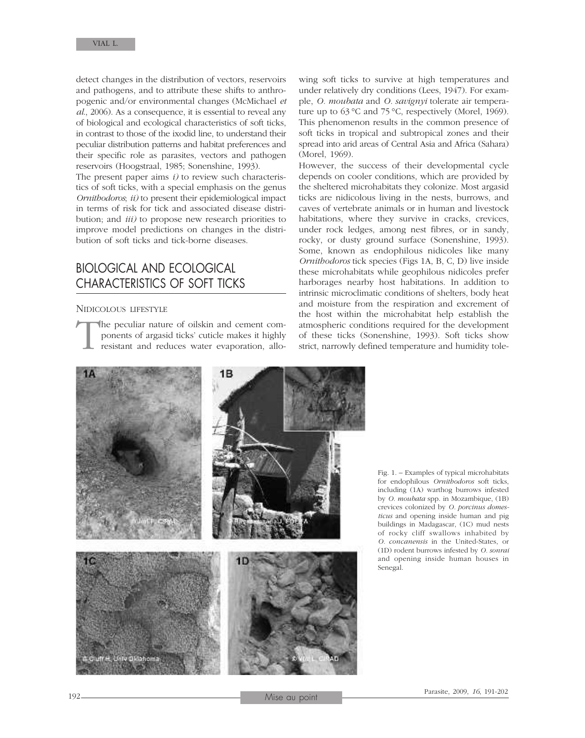detect changes in the distribution of vectors, reservoirs and pathogens, and to attribute these shifts to anthropogenic and/or environmental changes (McMichael *et al*., 2006). As a consequence, it is essential to reveal any of biological and ecological characteristics of soft ticks, in contrast to those of the ixodid line, to understand their peculiar distribution patterns and habitat preferences and their specific role as parasites, vectors and pathogen reservoirs (Hoogstraal, 1985; Sonenshine, 1993).

The present paper aims *i)* to review such characteristics of soft ticks, with a special emphasis on the genus *Ornithodoros*; *ii)* to present their epidemiological impact in terms of risk for tick and associated disease distribution; and *iii)* to propose new research priorities to improve model predictions on changes in the distribution of soft ticks and tick-borne diseases.

## BIOLOGICAL AND ECOLOGICAL CHARACTERISTICS OF SOFT TICKS

#### NIDICOLOUS LIFESTYLE

The peculiar nature of oilskin and cement components of argasid ticks' cuticle makes it highly resistant and reduces water evaporation, alloponents of argasid ticks' cuticle makes it highly resistant and reduces water evaporation, allo-

wing soft ticks to survive at high temperatures and under relatively dry conditions (Lees, 1947). For example, *O. moubata* and *O. savignyi* tolerate air temperature up to 63 °C and 75 °C, respectively (Morel, 1969). This phenomenon results in the common presence of soft ticks in tropical and subtropical zones and their spread into arid areas of Central Asia and Africa (Sahara) (Morel, 1969).

However, the success of their developmental cycle depends on cooler conditions, which are provided by the sheltered microhabitats they colonize. Most argasid ticks are nidicolous living in the nests, burrows, and caves of vertebrate animals or in human and livestock habitations, where they survive in cracks, crevices, under rock ledges, among nest fibres, or in sandy, rocky, or dusty ground surface (Sonenshine, 1993). Some, known as endophilous nidicoles like many *Ornithodoros* tick species (Figs 1A, B, C, D) live inside these microhabitats while geophilous nidicoles prefer harborages nearby host habitations. In addition to intrinsic microclimatic conditions of shelters, body heat and moisture from the respiration and excrement of the host within the microhabitat help establish the atmospheric conditions required for the development of these ticks (Sonenshine, 1993). Soft ticks show strict, narrowly defined temperature and humidity tole-



Fig. 1. – Examples of typical microhabitats for endophilous *Ornithodoros* soft ticks, including (1A) warthog burrows infested by *O. moubata* spp. in Mozambique, (1B) crevices colonized by *O. porcinus domesticus* and opening inside human and pig buildings in Madagascar, (1C) mud nests of rocky cliff swallows inhabited by *O. concanensis* in the United-States, or (1D) rodent burrows infested by *O. sonrai* and opening inside human houses in Senegal.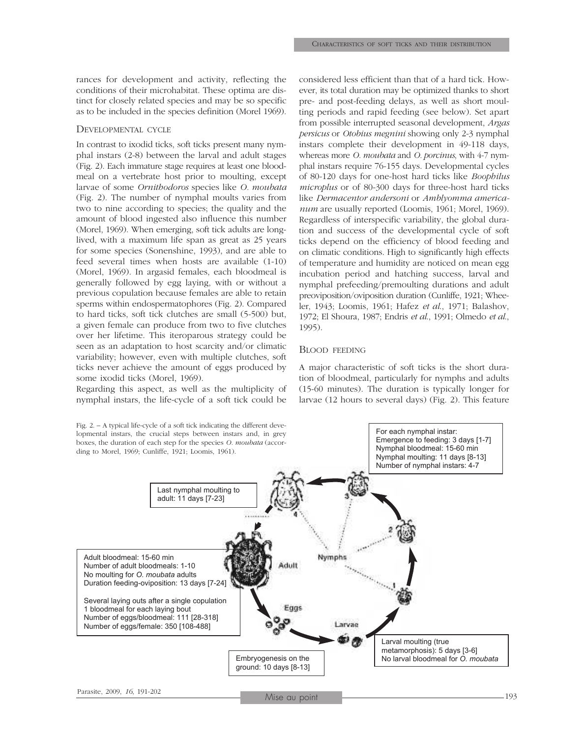rances for development and activity, reflecting the conditions of their microhabitat. These optima are distinct for closely related species and may be so specific as to be included in the species definition (Morel 1969).

### DEVELOPMENTAL CYCLE

In contrast to ixodid ticks, soft ticks present many nymphal instars (2-8) between the larval and adult stages (Fig. 2). Each immature stage requires at least one bloodmeal on a vertebrate host prior to moulting, except larvae of some *Ornithodoros* species like *O. moubata* (Fig. 2). The number of nymphal moults varies from two to nine according to species; the quality and the amount of blood ingested also influence this number (Morel, 1969). When emerging, soft tick adults are longlived, with a maximum life span as great as 25 years for some species (Sonenshine, 1993), and are able to feed several times when hosts are available (1-10) (Morel, 1969). In argasid females, each bloodmeal is generally followed by egg laying, with or without a previous copulation because females are able to retain sperms within endospermatophores (Fig. 2). Compared to hard ticks, soft tick clutches are small (5-500) but, a given female can produce from two to five clutches over her lifetime. This iteroparous strategy could be seen as an adaptation to host scarcity and/or climatic variability; however, even with multiple clutches, soft ticks never achieve the amount of eggs produced by some ixodid ticks (Morel, 1969).

Regarding this aspect, as well as the multiplicity of nymphal instars, the life-cycle of a soft tick could be

considered less efficient than that of a hard tick. However, its total duration may be optimized thanks to short pre- and post-feeding delays, as well as short moulting periods and rapid feeding (see below). Set apart from possible interrupted seasonal development, *Argas persicus* or *Otobius megnini* showing only 2-3 nymphal instars complete their development in 49-118 days, whereas more *O. moubata* and *O. porcinus*, with 4-7 nymphal instars require 76-155 days. Developmental cycles of 80-120 days for one-host hard ticks like *Boophilus microplus* or of 80-300 days for three-host hard ticks like *Dermacentor andersoni* or *Amblyomma americanum* are usually reported (Loomis, 1961; Morel, 1969). Regardless of interspecific variability, the global duration and success of the developmental cycle of soft ticks depend on the efficiency of blood feeding and on climatic conditions. High to significantly high effects of temperature and humidity are noticed on mean egg incubation period and hatching success, larval and nymphal prefeeding/premoulting durations and adult preoviposition/oviposition duration (Cunliffe, 1921; Wheeler, 1943; Loomis, 1961; Hafez *et al*., 1971; Balashov, 1972; El Shoura, 1987; Endris *et al*., 1991; Olmedo *et al*., 1995).

### BLOOD FEEDING

A major characteristic of soft ticks is the short duration of bloodmeal, particularly for nymphs and adults (15-60 minutes). The duration is typically longer for larvae (12 hours to several days) (Fig. 2). This feature

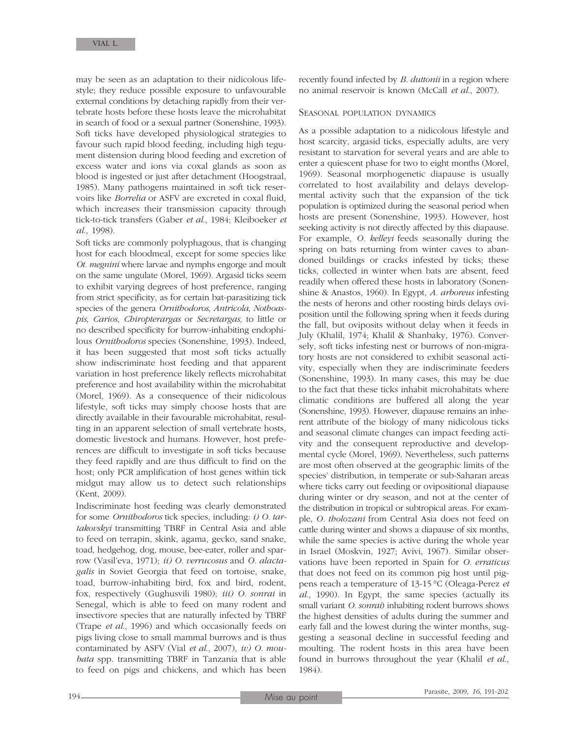may be seen as an adaptation to their nidicolous lifestyle; they reduce possible exposure to unfavourable external conditions by detaching rapidly from their vertebrate hosts before these hosts leave the microhabitat in search of food or a sexual partner (Sonenshine, 1993). Soft ticks have developed physiological strategies to favour such rapid blood feeding, including high tegument distension during blood feeding and excretion of excess water and ions via coxal glands as soon as blood is ingested or just after detachment (Hoogstraal, 1985). Many pathogens maintained in soft tick reservoirs like *Borrelia* or ASFV are excreted in coxal fluid, which increases their transmission capacity through tick-to-tick transfers (Gaber *et al*., 1984; Kleiboeker *et al*., 1998).

Soft ticks are commonly polyphagous, that is changing host for each bloodmeal, except for some species like *Ot. megnini* where larvae and nymphs engorge and moult on the same ungulate (Morel, 1969). Argasid ticks seem to exhibit varying degrees of host preference, ranging from strict specificity, as for certain bat-parasitizing tick species of the genera *Ornithodoros*, *Antricola*, *Nothoaspis*, *Carios*, *Chiropterargas* or *Secretargas,* to little or no described specificity for burrow-inhabiting endophilous *Ornithodoros* species (Sonenshine, 1993). Indeed, it has been suggested that most soft ticks actually show indiscriminate host feeding and that apparent variation in host preference likely reflects microhabitat preference and host availability within the microhabitat (Morel, 1969). As a consequence of their nidicolous lifestyle, soft ticks may simply choose hosts that are directly available in their favourable microhabitat, resulting in an apparent selection of small vertebrate hosts, domestic livestock and humans. However, host preferences are difficult to investigate in soft ticks because they feed rapidly and are thus difficult to find on the host; only PCR amplification of host genes within tick midgut may allow us to detect such relationships (Kent, 2009).

Indiscriminate host feeding was clearly demonstrated for some *Ornithodoros* tick species, including: *i) O. tartakovskyi* transmitting TBRF in Central Asia and able to feed on terrapin, skink, agama, gecko, sand snake, toad, hedgehog, dog, mouse, bee-eater, roller and sparrow (Vasil'eva, 1971); *ii) O. verrucosus* and *O. alactagalis* in Soviet Georgia that feed on tortoise, snake, toad, burrow-inhabiting bird, fox and bird, rodent, fox, respectively (Gughusvili 1980); *iii) O. sonrai* in Senegal, which is able to feed on many rodent and insectivore species that are naturally infected by TBRF (Trape *et al*., 1996) and which occasionally feeds on pigs living close to small mammal burrows and is thus contaminated by ASFV (Vial *et al*., 2007), *iv) O. moubata* spp. transmitting TBRF in Tanzania that is able to feed on pigs and chickens, and which has been

recently found infected by *B. duttonii* in a region where no animal reservoir is known (McCall *et al*., 2007).

#### SEASONAL POPULATION DYNAMICS

As a possible adaptation to a nidicolous lifestyle and host scarcity, argasid ticks, especially adults, are very resistant to starvation for several years and are able to enter a quiescent phase for two to eight months (Morel, 1969). Seasonal morphogenetic diapause is usually correlated to host availability and delays developmental activity such that the expansion of the tick population is optimized during the seasonal period when hosts are present (Sonenshine, 1993). However, host seeking activity is not directly affected by this diapause. For example, *O. kelleyi* feeds seasonally during the spring on bats returning from winter caves to abandoned buildings or cracks infested by ticks; these ticks, collected in winter when bats are absent, feed readily when offered these hosts in laboratory (Sonenshine & Anastos, 1960). In Egypt, *A. arboreus* infesting the nests of herons and other roosting birds delays oviposition until the following spring when it feeds during the fall, but oviposits without delay when it feeds in July (Khalil, 1974; Khalil & Shanbaky, 1976). Conversely, soft ticks infesting nest or burrows of non-migratory hosts are not considered to exhibit seasonal activity, especially when they are indiscriminate feeders (Sonenshine, 1993). In many cases, this may be due to the fact that these ticks inhabit microhabitats where climatic conditions are buffered all along the year (Sonenshine, 1993). However, diapause remains an inherent attribute of the biology of many nidicolous ticks and seasonal climate changes can impact feeding activity and the consequent reproductive and developmental cycle (Morel, 1969). Nevertheless, such patterns are most often observed at the geographic limits of the species' distribution, in temperate or sub-Saharan areas where ticks carry out feeding or ovipositional diapause during winter or dry season, and not at the center of the distribution in tropical or subtropical areas. For example, *O. tholozani* from Central Asia does not feed on cattle during winter and shows a diapause of six months, while the same species is active during the whole year in Israel (Moskvin, 1927; Avivi, 1967). Similar observations have been reported in Spain for *O. erraticus* that does not feed on its common pig host until pigpens reach a temperature of 13-15 °C (Oleaga-Perez *et al*., 1990). In Egypt, the same species (actually its small variant *O. sonrai*) inhabiting rodent burrows shows the highest densities of adults during the summer and early fall and the lowest during the winter months, suggesting a seasonal decline in successful feeding and moulting. The rodent hosts in this area have been found in burrows throughout the year (Khalil *et al*., 1984).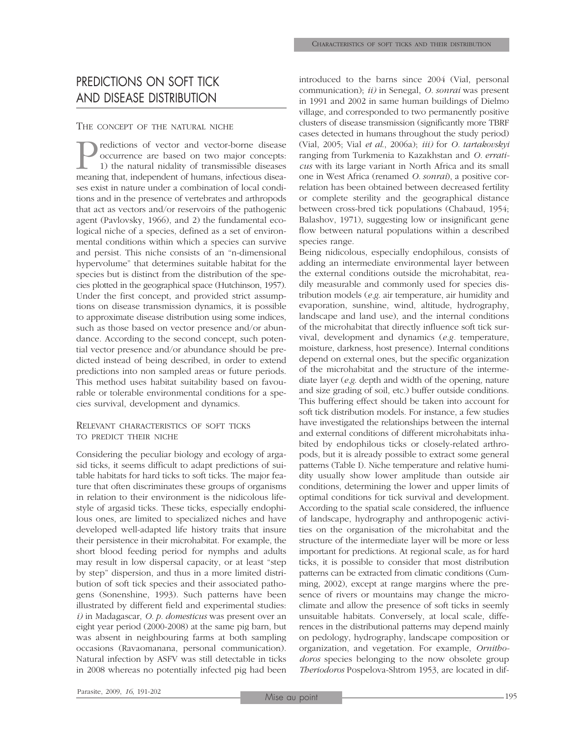# PREDICTIONS ON SOFT TICK AND DISEASE DISTRIBUTION

### THE CONCEPT OF THE NATURAL NICHE

Predictions of vector and vector-borne disease<br>occurrence are based on two major concepts:<br>1) the natural nidality of transmissible diseases<br>meaning that, independent of humans, infectious diseaoccurrence are based on two major concepts: 1) the natural nidality of transmissible diseases meaning that, independent of humans, infectious diseases exist in nature under a combination of local conditions and in the presence of vertebrates and arthropods that act as vectors and/or reservoirs of the pathogenic agent (Pavlovsky, 1966), and 2) the fundamental ecological niche of a species, defined as a set of environmental conditions within which a species can survive and persist. This niche consists of an "n-dimensional hypervolume" that determines suitable habitat for the species but is distinct from the distribution of the species plotted in the geographical space (Hutchinson, 1957). Under the first concept, and provided strict assumptions on disease transmission dynamics, it is possible to approximate disease distribution using some indices, such as those based on vector presence and/or abundance. According to the second concept, such potential vector presence and/or abundance should be predicted instead of being described, in order to extend predictions into non sampled areas or future periods. This method uses habitat suitability based on favourable or tolerable environmental conditions for a species survival, development and dynamics.

### RELEVANT CHARACTERISTICS OF SOFT TICKS TO PREDICT THEIR NICHE

Considering the peculiar biology and ecology of argasid ticks, it seems difficult to adapt predictions of suitable habitats for hard ticks to soft ticks. The major feature that often discriminates these groups of organisms in relation to their environment is the nidicolous lifestyle of argasid ticks. These ticks, especially endophilous ones, are limited to specialized niches and have developed well-adapted life history traits that insure their persistence in their microhabitat. For example, the short blood feeding period for nymphs and adults may result in low dispersal capacity, or at least "step by step" dispersion, and thus in a more limited distribution of soft tick species and their associated pathogens (Sonenshine, 1993). Such patterns have been illustrated by different field and experimental studies: *i)* in Madagascar, *O. p. domesticus* was present over an eight year period (2000-2008) at the same pig barn, but was absent in neighbouring farms at both sampling occasions (Ravaomanana, personal communication). Natural infection by ASFV was still detectable in ticks in 2008 whereas no potentially infected pig had been introduced to the barns since 2004 (Vial, personal communication); *ii)* in Senegal, *O. sonrai* was present in 1991 and 2002 in same human buildings of Dielmo village, and corresponded to two permanently positive clusters of disease transmission (significantly more TBRF cases detected in humans throughout the study period) (Vial, 2005; Vial *et al*., 2006a); *iii)* for *O. tartakovskyi* ranging from Turkmenia to Kazakhstan and *O. erraticus* with its large variant in North Africa and its small one in West Africa (renamed *O. sonrai*), a positive correlation has been obtained between decreased fertility or complete sterility and the geographical distance between cross-bred tick populations (Chabaud, 1954; Balashov, 1971), suggesting low or insignificant gene flow between natural populations within a described species range.

Being nidicolous, especially endophilous, consists of adding an intermediate environmental layer between the external conditions outside the microhabitat, readily measurable and commonly used for species distribution models (*e.g*. air temperature, air humidity and evaporation, sunshine, wind, altitude, hydrography, landscape and land use), and the internal conditions of the microhabitat that directly influence soft tick survival, development and dynamics (*e.g.* temperature, moisture, darkness, host presence). Internal conditions depend on external ones, but the specific organization of the microhabitat and the structure of the intermediate layer (*e.g*. depth and width of the opening, nature and size grading of soil, etc.) buffer outside conditions. This buffering effect should be taken into account for soft tick distribution models. For instance, a few studies have investigated the relationships between the internal and external conditions of different microhabitats inhabited by endophilous ticks or closely-related arthropods, but it is already possible to extract some general patterns (Table I). Niche temperature and relative humidity usually show lower amplitude than outside air conditions, determining the lower and upper limits of optimal conditions for tick survival and development. According to the spatial scale considered, the influence of landscape, hydrography and anthropogenic activities on the organisation of the microhabitat and the structure of the intermediate layer will be more or less important for predictions. At regional scale, as for hard ticks, it is possible to consider that most distribution patterns can be extracted from climatic conditions (Cumming, 2002), except at range margins where the presence of rivers or mountains may change the microclimate and allow the presence of soft ticks in seemly unsuitable habitats. Conversely, at local scale, differences in the distributional patterns may depend mainly on pedology, hydrography, landscape composition or organization, and vegetation. For example, *Ornithodoros* species belonging to the now obsolete group *Theriodoros* Pospelova-Shtrom 1953, are located in dif-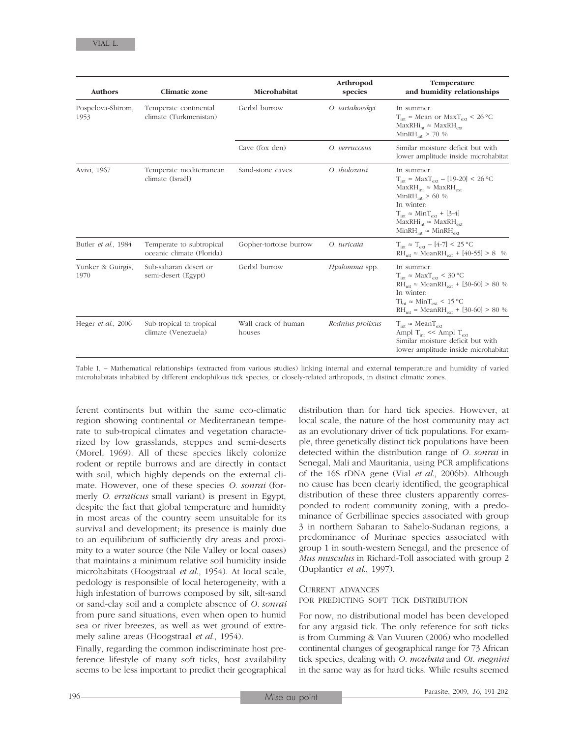| <b>Authors</b>            | <b>Climatic zone</b>                                  | Microhabitat                  | Arthropod<br>species | Temperature<br>and humidity relationships                                                                                                                                                                                                                                                        |
|---------------------------|-------------------------------------------------------|-------------------------------|----------------------|--------------------------------------------------------------------------------------------------------------------------------------------------------------------------------------------------------------------------------------------------------------------------------------------------|
| Pospelova-Shtrom,<br>1953 | Temperate continental<br>climate (Turkmenistan)       | Gerbil burrow                 | O. tartakovskyi      | In summer:<br>$T_{\text{int}} \approx \text{Mean}$ or $\text{MaxT}_{\text{ext}} < 26 \text{ °C}$<br>$MaxRHi_{nt} \approx MaxRH_{ext}$<br>$MinRH_{int} > 70\%$                                                                                                                                    |
|                           |                                                       | Cave (fox den)                | O. verrucosus        | Similar moisture deficit but with<br>lower amplitude inside microhabitat                                                                                                                                                                                                                         |
| Avivi, 1967               | Temperate mediterranean<br>climate (Israël)           | Sand-stone caves              | O. tholozani         | In summer:<br>$T_{int} \approx \text{Max}T_{ext} - [19-20] \leq 26 \degree C$<br>$MaxRH_{int} \approx MaxRH_{ext}$<br>$MinRH_{int} > 60\%$<br>In winter:<br>$T_{\text{int}} \approx \text{Min} T_{\text{ext}} + [3-4]$<br>$MaxRHi_{nt} \approx MaxRH_{ext}$<br>$MinRH_{int} \approx MinRH_{ext}$ |
| Butler et al., 1984       | Temperate to subtropical<br>oceanic climate (Florida) | Gopher-tortoise burrow        | O. turicata          | $T_{\text{int}} \approx T_{\text{ext}} - [4-7] \le 25 \text{ °C}$<br>$RH_{int} \approx MeanRH_{ext} + [40-55] > 8$ %                                                                                                                                                                             |
| Yunker & Guirgis,<br>1970 | Sub-saharan desert or<br>semi-desert (Egypt)          | Gerbil burrow                 | Hyalomma spp.        | In summer:<br>$T_{int} \approx \text{MaxT}_{ext} < 30 \text{ °C}$<br>$RH_{int} \approx \text{MeanRH}_{ext} + [30-60] > 80\%$<br>In winter:<br>$\rm Ti_{nt} \approx Min T_{ext} \leq 15 \, ^{\circ}\rm C$<br>$RH_{int} \approx \text{MeanRH}_{ext} + [30-60] > 80\%$                              |
| Heger et al., 2006        | Sub-tropical to tropical<br>climate (Venezuela)       | Wall crack of human<br>houses | Rodnius prolixus     | $T_{int} \approx \text{Mean}T_{ext}$<br>Ampl T <sub>int</sub> << Ampl T <sub>ext</sub><br>Similar moisture deficit but with<br>lower amplitude inside microhabitat                                                                                                                               |

Table I. – Mathematical relationships (extracted from various studies) linking internal and external temperature and humidity of varied microhabitats inhabited by different endophilous tick species, or closely-related arthropods, in distinct climatic zones.

ferent continents but within the same eco-climatic region showing continental or Mediterranean temperate to sub-tropical climates and vegetation characterized by low grasslands, steppes and semi-deserts (Morel, 1969). All of these species likely colonize rodent or reptile burrows and are directly in contact with soil, which highly depends on the external climate. However, one of these species *O. sonrai* (formerly *O. erraticus* small variant) is present in Egypt, despite the fact that global temperature and humidity in most areas of the country seem unsuitable for its survival and development; its presence is mainly due to an equilibrium of sufficiently dry areas and proximity to a water source (the Nile Valley or local oases) that maintains a minimum relative soil humidity inside microhabitats (Hoogstraal *et al*., 1954). At local scale, pedology is responsible of local heterogeneity, with a high infestation of burrows composed by silt, silt-sand or sand-clay soil and a complete absence of *O. sonrai* from pure sand situations, even when open to humid sea or river breezes, as well as wet ground of extremely saline areas (Hoogstraal *et al*., 1954).

Finally, regarding the common indiscriminate host preference lifestyle of many soft ticks, host availability seems to be less important to predict their geographical

distribution than for hard tick species. However, at local scale, the nature of the host community may act as an evolutionary driver of tick populations. For example, three genetically distinct tick populations have been detected within the distribution range of *O. sonrai* in Senegal, Mali and Mauritania, using PCR amplifications of the 16S rDNA gene (Vial *et al*., 2006b). Although no cause has been clearly identified, the geographical distribution of these three clusters apparently corresponded to rodent community zoning, with a predominance of Gerbillinae species associated with group 3 in northern Saharan to Sahelo-Sudanan regions, a predominance of Murinae species associated with group 1 in south-western Senegal, and the presence of *Mus musculus* in Richard-Toll associated with group 2 (Duplantier *et al*., 1997).

### CURRENT ADVANCES

FOR PREDICTING SOFT TICK DISTRIBUTION

For now, no distributional model has been developed for any argasid tick. The only reference for soft ticks is from Cumming & Van Vuuren (2006) who modelled continental changes of geographical range for 73 African tick species, dealing with *O. moubata* and *Ot. megnini* in the same way as for hard ticks. While results seemed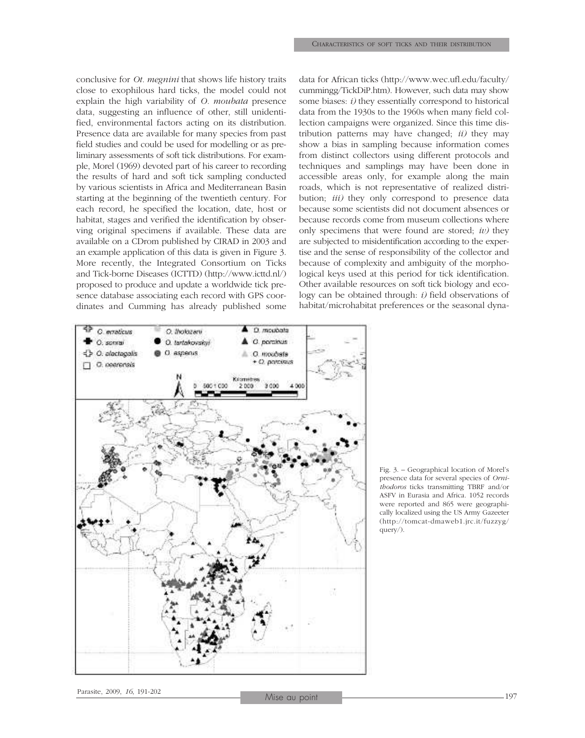conclusive for *Ot. megnini* that shows life history traits close to exophilous hard ticks, the model could not explain the high variability of *O. moubata* presence data, suggesting an influence of other, still unidentified, environmental factors acting on its distribution. Presence data are available for many species from past field studies and could be used for modelling or as preliminary assessments of soft tick distributions. For example, Morel (1969) devoted part of his career to recording the results of hard and soft tick sampling conducted by various scientists in Africa and Mediterranean Basin starting at the beginning of the twentieth century. For each record, he specified the location, date, host or habitat, stages and verified the identification by observing original specimens if available. These data are available on a CDrom published by CIRAD in 2003 and an example application of this data is given in Figure 3. More recently, the Integrated Consortium on Ticks and Tick-borne Diseases (ICTTD) (http://www.icttd.nl/) proposed to produce and update a worldwide tick presence database associating each record with GPS coordinates and Cumming has already published some data for African ticks (http://www.wec.ufl.edu/faculty/ cummingg/TickDiP.htm). However, such data may show some biases: *i)* they essentially correspond to historical data from the 1930s to the 1960s when many field collection campaigns were organized. Since this time distribution patterns may have changed; *ii)* they may show a bias in sampling because information comes from distinct collectors using different protocols and techniques and samplings may have been done in accessible areas only, for example along the main roads, which is not representative of realized distribution; *iii)* they only correspond to presence data because some scientists did not document absences or because records come from museum collections where only specimens that were found are stored; *iv)* they are subjected to misidentification according to the expertise and the sense of responsibility of the collector and because of complexity and ambiguity of the morphological keys used at this period for tick identification. Other available resources on soft tick biology and ecology can be obtained through: *i)* field observations of habitat/microhabitat preferences or the seasonal dyna-



Fig. 3. – Geographical location of Morel's presence data for several species of *Ornithodoros* ticks transmitting TBRF and/or ASFV in Eurasia and Africa. 1052 records were reported and 865 were geographically localized using the US Army Gazeeter (http://tomcat-dmaweb1.jrc.it/fuzzyg/ query/).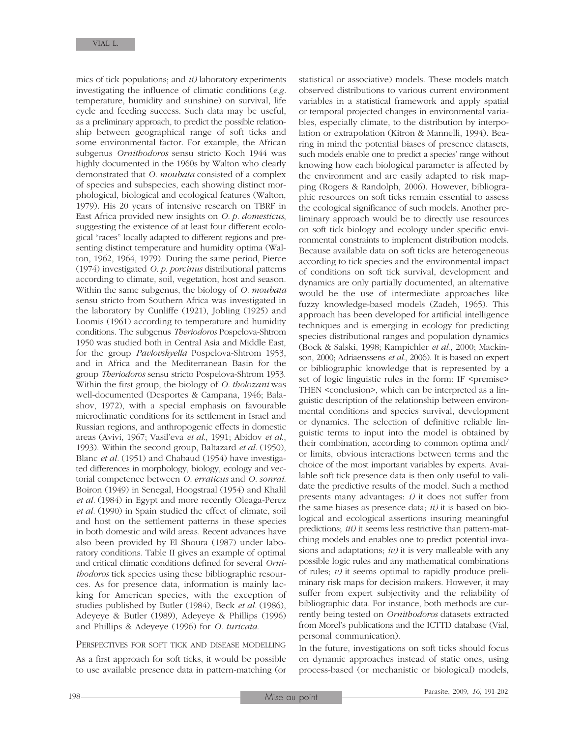mics of tick populations; and *ii)* laboratory experiments investigating the influence of climatic conditions (*e.g.* temperature, humidity and sunshine) on survival, life cycle and feeding success. Such data may be useful, as a preliminary approach, to predict the possible relationship between geographical range of soft ticks and some environmental factor. For example, the African subgenus *Ornithodoros* sensu stricto Koch 1944 was highly documented in the 1960s by Walton who clearly demonstrated that *O. moubata* consisted of a complex of species and subspecies, each showing distinct morphological, biological and ecological features (Walton, 1979). His 20 years of intensive research on TBRF in East Africa provided new insights on *O. p. domesticus*, suggesting the existence of at least four different ecological "races" locally adapted to different regions and presenting distinct temperature and humidity optima (Walton, 1962, 1964, 1979). During the same period, Pierce (1974) investigated *O. p. porcinus* distributional patterns according to climate, soil, vegetation, host and season. Within the same subgenus, the biology of *O. moubata* sensu stricto from Southern Africa was investigated in the laboratory by Cunliffe (1921), Jobling (1925) and Loomis (1961) according to temperature and humidity conditions. The subgenus *Theriodoros* Pospelova-Shtrom 1950 was studied both in Central Asia and Middle East, for the group *Pavlovskyella* Pospelova-Shtrom 1953, and in Africa and the Mediterranean Basin for the group *Theriodoros* sensu stricto Pospelova-Shtrom 1953. Within the first group, the biology of *O. tholozani* was well-documented (Desportes & Campana, 1946; Balashov, 1972), with a special emphasis on favourable microclimatic conditions for its settlement in Israel and Russian regions, and anthropogenic effects in domestic areas (Avivi, 1967; Vasil'eva *et al*., 1991; Abidov *et al*., 1993). Within the second group, Baltazard *et al.* (1950), Blanc *et al.* (1951) and Chabaud (1954) have investigated differences in morphology, biology, ecology and vectorial competence between *O. erraticus* and *O. sonrai*. Boiron (1949) in Senegal, Hoogstraal (1954) and Khalil *et al.* (1984) in Egypt and more recently Oleaga-Perez *et al.* (1990) in Spain studied the effect of climate, soil and host on the settlement patterns in these species in both domestic and wild areas. Recent advances have also been provided by El Shoura (1987) under laboratory conditions. Table II gives an example of optimal and critical climatic conditions defined for several *Ornithodoros* tick species using these bibliographic resources. As for presence data, information is mainly lacking for American species, with the exception of studies published by Butler (1984), Beck *et al.* (1986), Adeyeye & Butler (1989), Adeyeye & Phillips (1996) and Phillips & Adeyeye (1996) for *O. turicata*.

### PERSPECTIVES FOR SOFT TICK AND DISEASE MODELLING

As a first approach for soft ticks, it would be possible to use available presence data in pattern-matching (or statistical or associative) models. These models match observed distributions to various current environment variables in a statistical framework and apply spatial or temporal projected changes in environmental variables, especially climate, to the distribution by interpolation or extrapolation (Kitron & Mannelli, 1994). Bearing in mind the potential biases of presence datasets, such models enable one to predict a species' range without knowing how each biological parameter is affected by the environment and are easily adapted to risk mapping (Rogers & Randolph, 2006). However, bibliographic resources on soft ticks remain essential to assess the ecological significance of such models. Another preliminary approach would be to directly use resources on soft tick biology and ecology under specific environmental constraints to implement distribution models. Because available data on soft ticks are heterogeneous according to tick species and the environmental impact of conditions on soft tick survival, development and dynamics are only partially documented, an alternative would be the use of intermediate approaches like fuzzy knowledge-based models (Zadeh, 1965). This approach has been developed for artificial intelligence techniques and is emerging in ecology for predicting species distributional ranges and population dynamics (Bock & Salski, 1998; Kampichler *et al*., 2000; Mackinson, 2000; Adriaenssens *et al*., 2006). It is based on expert or bibliographic knowledge that is represented by a set of logic linguistic rules in the form: IF <premise> THEN <conclusion>, which can be interpreted as a linguistic description of the relationship between environmental conditions and species survival, development or dynamics. The selection of definitive reliable linguistic terms to input into the model is obtained by their combination, according to common optima and/ or limits, obvious interactions between terms and the choice of the most important variables by experts. Available soft tick presence data is then only useful to validate the predictive results of the model. Such a method presents many advantages: *i)* it does not suffer from the same biases as presence data; *ii)* it is based on biological and ecological assertions insuring meaningful predictions; *iii)* it seems less restrictive than pattern-matching models and enables one to predict potential invasions and adaptations; *iv)* it is very malleable with any possible logic rules and any mathematical combinations of rules; *v)* it seems optimal to rapidly produce preliminary risk maps for decision makers. However, it may suffer from expert subjectivity and the reliability of bibliographic data. For instance, both methods are currently being tested on *Ornithodoros* datasets extracted from Morel's publications and the ICTTD database (Vial, personal communication).

In the future, investigations on soft ticks should focus on dynamic approaches instead of static ones, using process-based (or mechanistic or biological) models,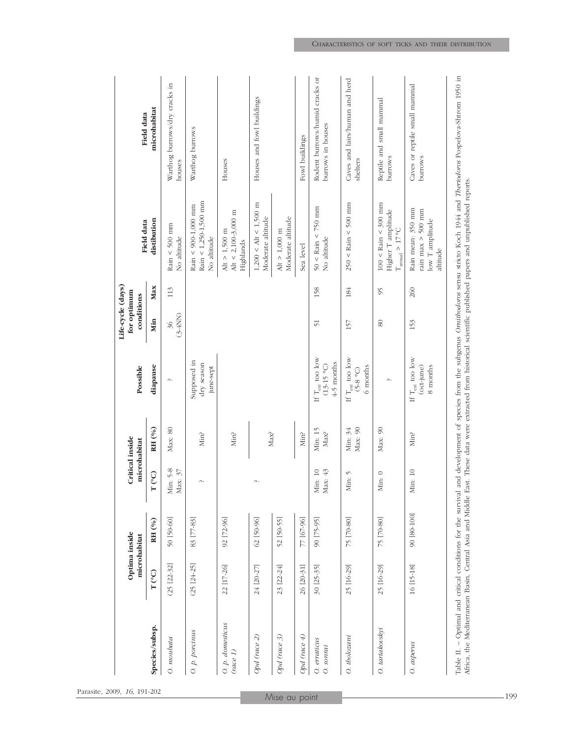|                              |                                 | Optima inside<br>microhabitat |                                           | Critical inside<br>microhabitat | Possible                                                  | Life-cycle (days)<br>for optimum<br>conditions |     | Field data                                                                               | Field data                                          |
|------------------------------|---------------------------------|-------------------------------|-------------------------------------------|---------------------------------|-----------------------------------------------------------|------------------------------------------------|-----|------------------------------------------------------------------------------------------|-----------------------------------------------------|
| Species/subsp.               | $T^{\mathrm{(^{\mathrm{o}}C)}}$ | RH (%)                        | $\widetilde{Q}$<br>$\mathbf{r}$           | RH (%)                          | diapause                                                  | Min                                            | Max | distibution                                                                              | microhabitat                                        |
| $O.$ $moudata$               | $(25 [22-32]$                   | 50 [50-60]                    | $5 - 8$<br>$\mathfrak{Z}$<br>Min:<br>Max: | Max: 80                         | $\sim$                                                    | $(3-4NN)$<br>36                                | 113 | Rain < 500 mm<br>No altitude                                                             | Warthog burrows/dry cracks in<br>houses             |
| O. p. porcinus               | $(25 [24-25]$                   | 83 [77-83]                    | Λ.                                        | Min?                            | Supposed in<br>dry season<br>june-sept                    |                                                |     | $Rain < 1,250-1,500$ mm<br>Rain < 900-1,000 mm<br>No altitude                            | Warthog burrows                                     |
| O. p. domesticus<br>(nice 1) | 22 [17-26]                      | 92 [72-96]                    |                                           | Min?                            |                                                           |                                                |     | Alt < 2,100-3,000 m<br>Alt $>$ 1,500 m<br>Highlands                                      | Houses                                              |
| Opd (race 2)                 | 24 [20-27]                      | 62 [50-96]                    | Λ.                                        | Max?                            |                                                           |                                                |     | $1,200 < \text{Alt} < 1,500 \text{ m}$<br>Moderate altitude                              | Houses and fowl buildings                           |
| Opd (race 3)                 | 23 [22-24]                      | 52 [50-55]                    |                                           |                                 |                                                           |                                                |     | Moderate altitude<br>Alt $>$ 1,000 m                                                     |                                                     |
| Opd (race $4$ )              | 26 [20-31]                      | 77 [67-96]                    |                                           | Min?                            |                                                           |                                                |     | Sea level                                                                                | Fowl buildings                                      |
| O. erraticus<br>O. sonrai    | 30 [25-35]                      | 90 [75-95]                    | $\overline{10}$<br>$43$<br>Min:<br>Max:   | Min: 15<br>Max?                 | If $T_{\rm ext}$ too low<br>$4-5$ months<br>$(13-15)$ °C) | $\overline{51}$                                | 158 | $50 <$ Rain < 750 mm<br>No altitude                                                      | Rodent burrows/humid cracks or<br>burrows in houses |
| O. tholozani                 | 25 [16-29]                      | 75 [70-80]                    | $\sqrt{ }$<br>$\ddot{\phantom{a}}$<br>Min | Max: 90<br>Min: 34              | If $T_{\rm ext}$ too low<br>6 months<br>$(5-8)$           | 157                                            | 184 | $250 \leq$ Rain $\leq 500$ mm                                                            | Caves and lairs/human and herd<br>shelters          |
| O. tartakovskyi              | 25 [16-29]                      | 75 [70-80]                    | Min: $\sqrt{0}$                           | Max: 90                         | $\sim$                                                    | $\pmb{8}$                                      | 95  | $100 <$ Rain $< 300$ mm<br>Higher T amplitude<br>$\rm T_{\rm annual}$ $>$ 17 $\rm ^{o}C$ | Reptile and small mammal<br>burrows                 |
| O. asperus                   | 16 [15-18]                      | 90 [80-100]                   | $\overline{10}$<br>Мin:                   | Min?                            | If $T_{\rm ext}$ too low<br>(oct-june)<br>8 months        | 153                                            | 260 | Rain mean: 350 mm<br>rain max $>$ 500 mm<br>low T amplitude<br>altitude                  | Caves or reptile small mammal<br><b>burrows</b>     |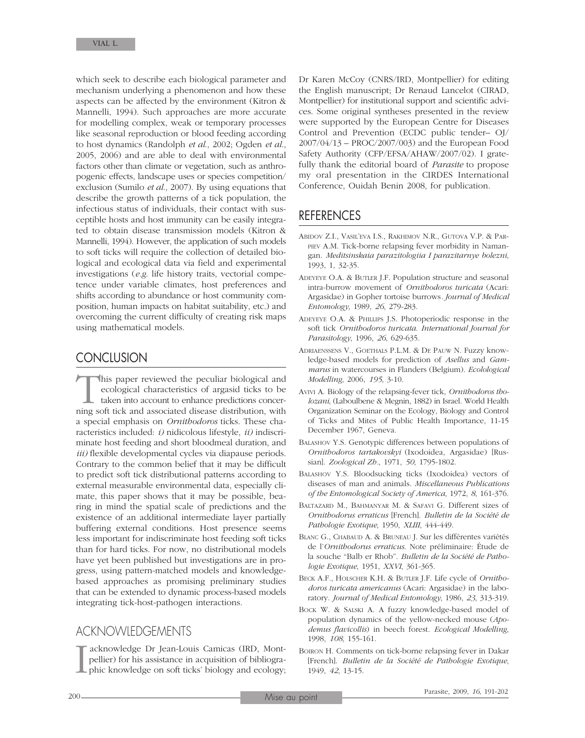which seek to describe each biological parameter and mechanism underlying a phenomenon and how these aspects can be affected by the environment (Kitron & Mannelli, 1994). Such approaches are more accurate for modelling complex, weak or temporary processes like seasonal reproduction or blood feeding according to host dynamics (Randolph *et al*., 2002; Ogden *et al*., 2005, 2006) and are able to deal with environmental factors other than climate or vegetation, such as anthropogenic effects, landscape uses or species competition/ exclusion (Sumilo *et al*., 2007). By using equations that describe the growth patterns of a tick population, the infectious status of individuals, their contact with susceptible hosts and host immunity can be easily integrated to obtain disease transmission models (Kitron & Mannelli, 1994). However, the application of such models to soft ticks will require the collection of detailed biological and ecological data via field and experimental investigations (*e.g*. life history traits, vectorial competence under variable climates, host preferences and shifts according to abundance or host community composition, human impacts on habitat suitability, etc.) and overcoming the current difficulty of creating risk maps using mathematical models.

### **CONCLUSION**

This paper reviewed the peculiar biological and ecological characteristics of argasid ticks to be taken into account to enhance predictions concerning soft tick and associated disease distribution, with ecological characteristics of argasid ticks to be taken into account to enhance predictions concera special emphasis on *Ornithodoros* ticks. These characteristics included: *i)* nidicolous lifestyle, *ii)* indiscriminate host feeding and short bloodmeal duration, and *iii)* flexible developmental cycles via diapause periods. Contrary to the common belief that it may be difficult to predict soft tick distributional patterns according to external measurable environmental data, especially climate, this paper shows that it may be possible, bearing in mind the spatial scale of predictions and the existence of an additional intermediate layer partially buffering external conditions. Host presence seems less important for indiscriminate host feeding soft ticks than for hard ticks. For now, no distributional models have yet been published but investigations are in progress, using pattern-matched models and knowledgebased approaches as promising preliminary studies that can be extended to dynamic process-based models integrating tick-host-pathogen interactions.

### ACKNOWLEDGEMENTS

I acknowledge Dr Jean-Louis Camicas (IRD, Montpellier) for his assistance in acquisition of bibliographic knowledge on soft ticks' biology and ecology;

Dr Karen McCoy (CNRS/IRD, Montpellier) for editing the English manuscript; Dr Renaud Lancelot (CIRAD, Montpellier) for institutional support and scientific advices. Some original syntheses presented in the review were supported by the European Centre for Diseases Control and Prevention (ECDC public tender– OJ/ 2007/04/13 – PROC/2007/003) and the European Food Safety Authority (CFP/EFSA/AHAW/2007/02). I gratefully thank the editorial board of *Parasite* to propose my oral presentation in the CIRDES International Conference, Ouidah Benin 2008, for publication.

# REFERENCES

- ABIDOV Z.I., VASIL'EVA I.S., RAKHIMOV N.R., GUTOVA V.P. & PAR-PIEV A.M. Tick-borne relapsing fever morbidity in Namangan. *Meditsinskaia parazitologiia I parazitarnye bolezni*, 1993, 1, 32-35.
- ADEYEYE O.A. & BUTLER J.F. Population structure and seasonal intra-burrow movement of *Ornithodoros turicata* (Acari: Argasidae) in Gopher tortoise burrows*. Journal of Medical Entomology*, 1989, *26*, 279-283.
- ADEYEYE O.A. & PHILLIPS J.S. Photoperiodic response in the soft tick *Ornithodoros turicata*. *International Journal for Parasitology*, 1996, *26*, 629-635.
- ADRIAENSSENS V., GOETHALS P.L.M. & DE PAUW N. Fuzzy knowledge-based models for prediction of *Asellus* and *Gammarus* in watercourses in Flanders (Belgium). *Ecolological Modelling*, 2006, *195*, 3-10.
- AVIVI A. Biology of the relapsing-fever tick, *Ornithodoros tholozani*, (Laboulbene & Megnin, 1882) in Israel. World Health Organization Seminar on the Ecology, Biology and Control of Ticks and Mites of Public Health Importance, 11-15 December 1967, Geneva.
- BALASHOV Y.S. Genotypic differences between populations of *Ornithodoros tartakovskyi* (Ixodoidea, Argasidae) [Russian]. *Zoological Zh.*, 1971, *50*, 1795-1802.
- BALASHOV Y.S. Bloodsucking ticks (Ixodoidea) vectors of diseases of man and animals. *Miscellaneous Publications of the Entomological Society of America*, 1972, *8*, 161-376.
- BALTAZARD M., BAHMANYAR M. & SAFAVI G. Different sizes of *Ornithodorus erraticus* [French]. *Bulletin de la Société de Pathologie Exotique*, 1950, *XLIII*, 444-449.
- BLANC G., CHABAUD A. & BRUNEAU J. Sur les différentes variétés de l'*Ornithodorus erraticus*. Note préliminaire: Étude de la souche "Balb er Rhob". *Bulletin de la Société de Pathologie Exotique*, 1951, *XXVI*, 361-365.
- BECK A.F., HOLSCHER K.H. & BUTLER J.F. Life cycle of *Ornithodoros turicata americanus* (Acari: Argasidae) in the laboratory. *Journal of Medical Entomology*, 1986, *23*, 313-319.
- BOCK W. & SALSKI A. A fuzzy knowledge-based model of population dynamics of the yellow-necked mouse (*Apodemus flavicollis*) in beech forest. *Ecological Modelling*, 1998, *108*, 155-161.
- BOIRON H. Comments on tick-borne relapsing fever in Dakar [French]. *Bulletin de la Société de Pathologie Exotique*, 1949, *42*, 13-15.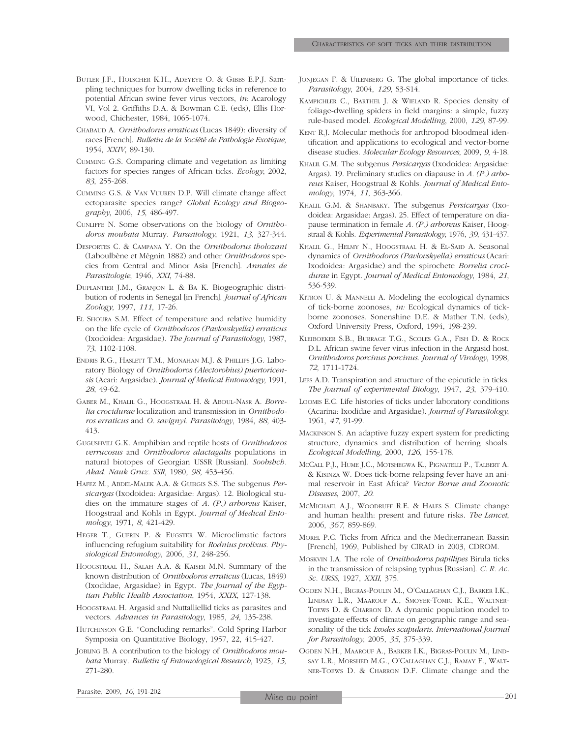- BUTLER J.F., HOLSCHER K.H., ADEYEYE O. & GIBBS E.P.J. Sampling techniques for burrow dwelling ticks in reference to potential African swine fever virus vectors, *in*: Acarology VI, Vol 2. Griffiths D.A. & Bowman C.E. (eds), Ellis Horwood, Chichester, 1984, 1065-1074.
- CHABAUD A. *Ornithodorus erraticus* (Lucas 1849): diversity of races [French]. *Bulletin de la Société de Pathologie Exotique*, 1954, *XXIV*, 89-130.
- CUMMING G.S. Comparing climate and vegetation as limiting factors for species ranges of African ticks. *Ecology*, 2002, *83*, 255-268.
- CUMMING G.S. & VAN VUUREN D.P. Will climate change affect ectoparasite species range? *Global Ecology and Biogeography*, 2006, *15*, 486-497.
- CUNLIFFE N. Some observations on the biology of *Ornithodoros moubata* Murray. *Parasitology*, 1921, *13*, 327-344.
- DESPORTES C. & CAMPANA Y. On the *Ornithodorus tholozani* (Laboulbène et Mégnin 1882) and other *Ornithodoros* species from Central and Minor Asia [French]. *Annales de Parasitologie*, 1946, *XXI*, 74-88.
- DUPLANTIER J.M., GRANJON L. & BA K. Biogeographic distribution of rodents in Senegal [in French]. *Journal of African Zoology*, 1997, *111*, 17-26.
- EL SHOURA S.M. Effect of temperature and relative humidity on the life cycle of *Ornithodoros (Pavlovskyella) erraticus* (Ixodoidea: Argasidae). *The Journal of Parasitology*, 1987, *73*, 1102-1108.
- ENDRIS R.G., HASLETT T.M., MONAHAN M.J. & PHILLIPS J.G. Laboratory Biology of *Ornithodoros (Alectorobius) puertoricensis* (Acari: Argasidae). *Journal of Medical Entomology*, 1991, *28*, 49-62.
- GABER M., KHALIL G., HOOGSTRAAL H. & ABOUL-NASR A. *Borrelia crocidurae* localization and transmission in *Ornithodoros erraticus* and *O. savignyi*. *Parasitology*, 1984, *88*, 403- 413.
- GUGUSHVILI G.K. Amphibian and reptile hosts of *Ornithodoros verrucosus* and *Ornithodoros alactagalis* populations in natural biotopes of Georgian USSR [Russian]. *Soobshch. Akad. Nauk Gruz. SSR*, 1980, *98*, 453-456.
- HAFEZ M., ABDEL-MALEK A.A. & GUIRGIS S.S. The subgenus *Persicargas* (Ixodoidea: Argasidae: Argas). 12. Biological studies on the immature stages of *A. (P.) arboreus* Kaiser, Hoogstraal and Kohls in Egypt. *Journal of Medical Entomology*, 1971, *8*, 421-429.
- HEGER T., GUERIN P. & EUGSTER W. Microclimatic factors influencing refugium suitability for *Rodnius prolixus*. *Physiological Entomology*, 2006, *31*, 248-256.
- HOOGSTRAAL H., SALAH A.A. & KAISER M.N. Summary of the known distribution of *Ornithodoros erraticus* (Lucas, 1849) (Ixodidae, Argasidae) in Egypt. *The Journal of the Egyptian Public Health Association*, 1954, *XXIX*, 127-138.
- HOOGSTRAAL H. Argasid and Nuttalliellid ticks as parasites and vectors. *Advances in Parasitology*, 1985, *24*, 135-238.
- HUTCHINSON G.E. "Concluding remarks". Cold Spring Harbor Symposia on Quantitative Biology, 1957, 22, 415-427.
- JOBLING B. A contribution to the biology of *Ornithodoros moubata* Murray. *Bulletin of Entomological Research*, 1925, *15*, 271-280.
- JONJEGAN F. & UILENBERG G. The global importance of ticks. *Parasitology*, 2004, *129*, S3-S14.
- KAMPICHLER C., BARTHEL J. & WIELAND R. Species density of foliage-dwelling spiders in field margins: a simple, fuzzy rule-based model. *Ecological Modelling*, 2000, *129*, 87-99.
- KENT R.J. Molecular methods for arthropod bloodmeal identification and applications to ecological and vector-borne disease studies. *Molecular Ecology Resources*, 2009, *9*, 4-18.
- KHALIL G.M. The subgenus *Persicargas* (Ixodoidea: Argasidae: Argas). 19. Preliminary studies on diapause in *A. (P.) arboreus* Kaiser, Hoogstraal & Kohls. *Journal of Medical Entomology*, 1974, *11*, 363-366.
- KHALIL G.M. & SHANBAKY. The subgenus *Persicargas* (Ixodoidea: Argasidae: Argas). 25. Effect of temperature on diapause termination in female *A. (P.) arboreus* Kaiser, Hoogstraal & Kohls. *Experimental Parasitology*, 1976, *39*, 431-437.
- KHALIL G., HELMY N., HOOGSTRAAL H. & EL-SAID A. Seasonal dynamics of *Ornithodoros (Pavlovskyella) erraticus* (Acari: Ixodoidea: Argasidae) and the spirochete *Borrelia crocidurae* in Egypt. *Journal of Medical Entomology*, 1984, *21*, 536-539.
- KITRON U. & MANNELLI A. Modeling the ecological dynamics of tick-borne zoonoses, *in:* Ecological dynamics of tickborne zoonoses. Sonenshine D.E. & Mather T.N. (eds), Oxford University Press, Oxford, 1994, 198-239.
- KLEIBOEKER S.B., BURRAGE T.G., SCOLES G.A., FISH D. & ROCK D.L. African swine fever virus infection in the Argasid host, *Ornithodoros porcinus porcinus*. *Journal of Virology*, 1998, *72*, 1711-1724.
- LEES A.D. Transpiration and structure of the epicuticle in ticks. *The Journal of experimental Biology,* 1947, *23*, 379-410.
- LOOMIS E.C. Life histories of ticks under laboratory conditions (Acarina: Ixodidae and Argasidae). *Journal of Parasitology*, 1961, *47*, 91-99.
- MACKINSON S. An adaptive fuzzy expert system for predicting structure, dynamics and distribution of herring shoals. *Ecological Modelling*, 2000, *126*, 155-178.
- MCCALL P.J., HUME J.C., MOTSHEGWA K., PIGNATELLI P., TALBERT A. & KISINZA W. Does tick-borne relapsing fever have an animal reservoir in East Africa? *Vector Borne and Zoonotic Diseases*, 2007, *20*.
- MCMICHAEL A.J., WOODRUFF R.E. & HALES S. Climate change and human health: present and future risks. *The Lancet*, 2006, *367*, 859-869.
- MOREL P.C. Ticks from Africa and the Mediterranean Bassin [French], 1969, Published by CIRAD in 2003, CDROM.
- MOSKVIN I.A. The role of *Ornithodoros papillipes* Birula ticks in the transmission of relapsing typhus [Russian]. *C. R. Ac. Sc. URSS*, 1927, *XXII*, 375.
- OGDEN N.H., BIGRAS-POULIN M., O'CALLAGHAN C.J., BARKER I.K., LINDSAY L.R., MAAROUF A., SMOYER-TOMIC K.E., WALTNER-TOEWS D. & CHARRON D. A dynamic population model to investigate effects of climate on geographic range and seasonality of the tick *Ixodes scapularis*. *International Journal for Parasitology*, 2005, *35*, 375-339.
- OGDEN N.H., MAAROUF A., BARKER I.K., BIGRAS-POULIN M., LIND-SAY L.R., MORSHED M.G., O'CALLAGHAN C.J., RAMAY F., WALT-NER-TOEWS D. & CHARRON D.F. Climate change and the